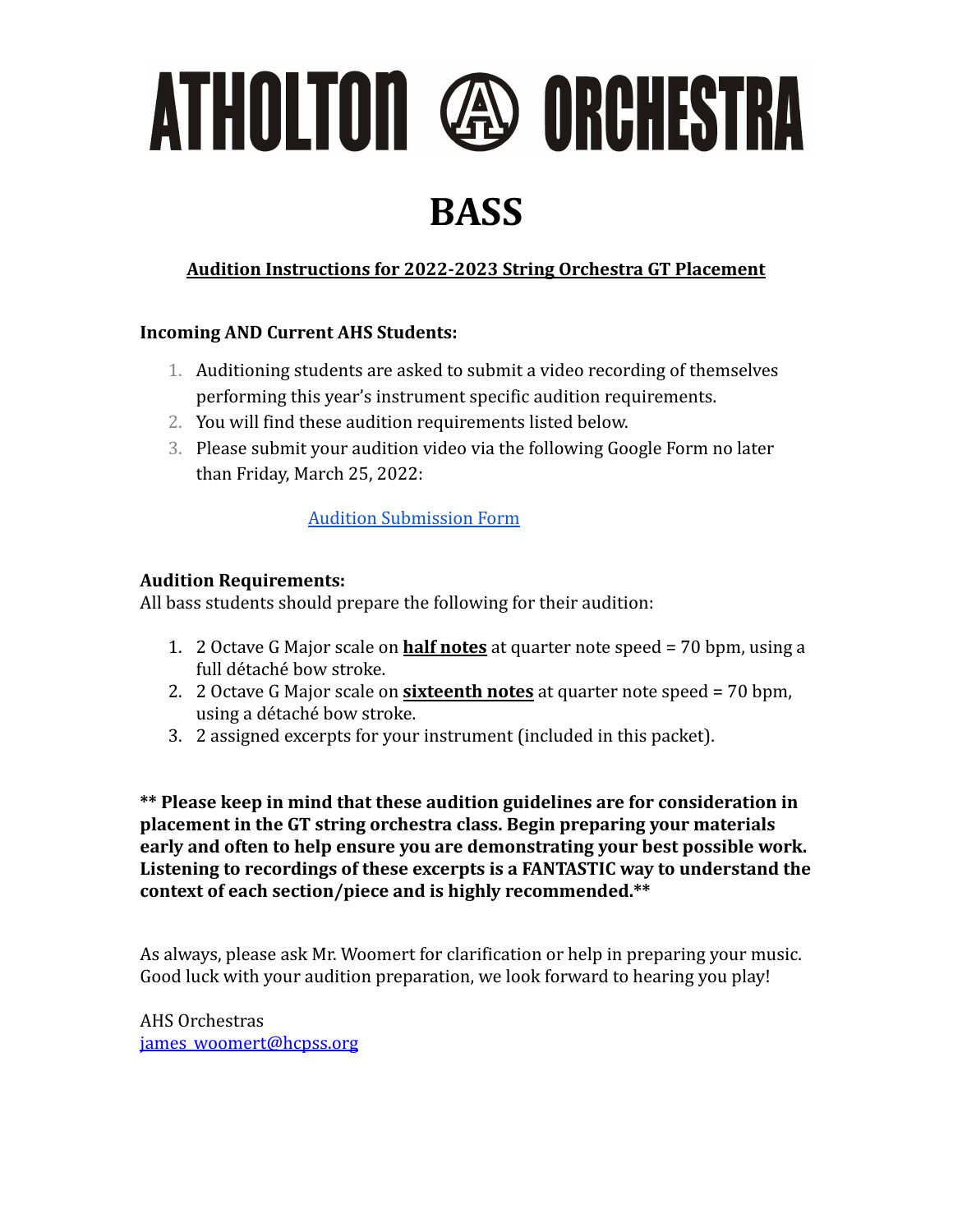ATHOLTON @ ORCHESTRA

### **BASS**

### **Audition Instructions for 2022-2023 String Orchestra GT Placement**

#### **Incoming AND Current AHS Students:**

- 1. Auditioning students are asked to submit a video recording of themselves performing this year's instrument specific audition requirements.
- 2. You will find these audition requirements listed below.
- 3. Please submit your audition video via the following Google Form no later than Friday, March 25, 2022:

#### [Audition Submission Form](https://forms.gle/Y6j9BVAPN34Syehx5)

#### **Audition Requirements:**

All bass students should prepare the following for their audition:

- 1. 2 Octave G Major scale on **half notes** at quarter note speed = 70 bpm, using a full détaché bow stroke.
- 2. 2 Octave G Major scale on **sixteenth notes** at quarter note speed = 70 bpm, using a détaché bow stroke.
- 3. 2 assigned excerpts for your instrument (included in this packet).

**\*\* Please keep in mind that these audition guidelines are for consideration in placement in the GT string orchestra class. Begin preparing your materials early and often to help ensure you are demonstrating your best possible work. Listening to recordings of these excerpts is a FANTASTIC way to understand the context of each section/piece and is highly recommended.\*\***

As always, please ask Mr. Woomert for clarification or help in preparing your music. Good luck with your audition preparation, we look forward to hearing you play!

AHS Orchestras [james\\_woomert@hcpss.org](mailto:james_woomert@hcpss.org)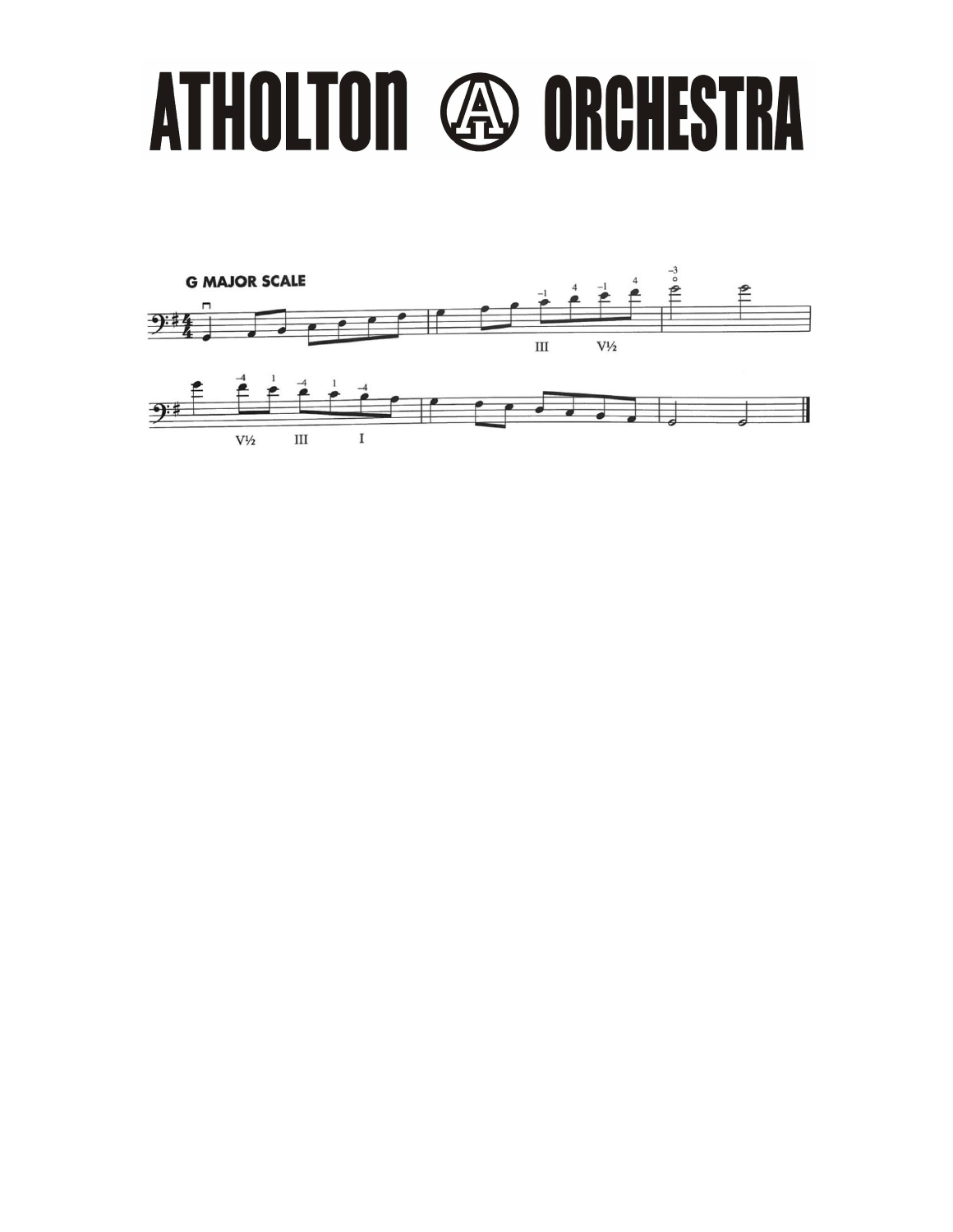# ATHOLTON @ ORCHESTRA